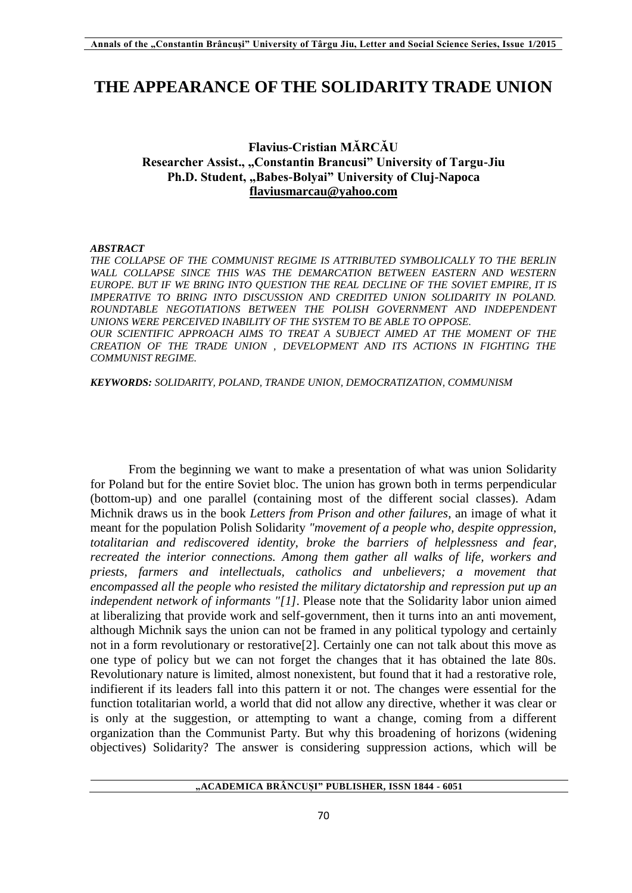## **THE APPEARANCE OF THE SOLIDARITY TRADE UNION**

## **Flavius-Cristian MĂRCĂU Researcher Assist., "Constantin Brancusi" University of Targu-Jiu** Ph.D. Student, "Babes-Bolyai" University of Cluj-Napoca **[flaviusmarcau@yahoo.com](mailto:flaviusmarcau@yahoo.com)**

## *ABSTRACT*

*THE COLLAPSE OF THE COMMUNIST REGIME IS ATTRIBUTED SYMBOLICALLY TO THE BERLIN WALL COLLAPSE SINCE THIS WAS THE DEMARCATION BETWEEN EASTERN AND WESTERN EUROPE. BUT IF WE BRING INTO QUESTION THE REAL DECLINE OF THE SOVIET EMPIRE, IT IS IMPERATIVE TO BRING INTO DISCUSSION AND CREDITED UNION SOLIDARITY IN POLAND. ROUNDTABLE NEGOTIATIONS BETWEEN THE POLISH GOVERNMENT AND INDEPENDENT UNIONS WERE PERCEIVED INABILITY OF THE SYSTEM TO BE ABLE TO OPPOSE. OUR SCIENTIFIC APPROACH AIMS TO TREAT A SUBJECT AIMED AT THE MOMENT OF THE CREATION OF THE TRADE UNION , DEVELOPMENT AND ITS ACTIONS IN FIGHTING THE COMMUNIST REGIME.*

*KEYWORDS: SOLIDARITY, POLAND, TRANDE UNION, DEMOCRATIZATION, COMMUNISM*

From the beginning we want to make a presentation of what was union Solidarity for Poland but for the entire Soviet bloc. The union has grown both in terms perpendicular (bottom-up) and one parallel (containing most of the different social classes). Adam Michnik draws us in the book *Letters from Prison and other failures*, an image of what it meant for the population Polish Solidarity *"movement of a people who, despite oppression, totalitarian and rediscovered identity, broke the barriers of helplessness and fear, recreated the interior connections. Among them gather all walks of life, workers and priests, farmers and intellectuals, catholics and unbelievers; a movement that encompassed all the people who resisted the military dictatorship and repression put up an independent network of informants "[1].* Please note that the Solidarity labor union aimed at liberalizing that provide work and self-government, then it turns into an anti movement, although Michnik says the union can not be framed in any political typology and certainly not in a form revolutionary or restorative[2]. Certainly one can not talk about this move as one type of policy but we can not forget the changes that it has obtained the late 80s. Revolutionary nature is limited, almost nonexistent, but found that it had a restorative role, indifierent if its leaders fall into this pattern it or not. The changes were essential for the function totalitarian world, a world that did not allow any directive, whether it was clear or is only at the suggestion, or attempting to want a change, coming from a different organization than the Communist Party. But why this broadening of horizons (widening objectives) Solidarity? The answer is considering suppression actions, which will be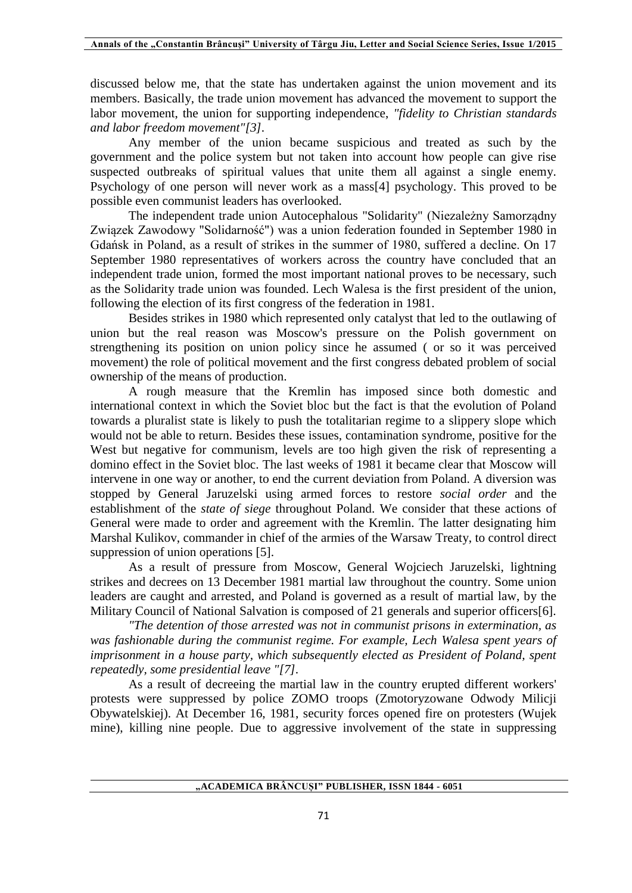discussed below me, that the state has undertaken against the union movement and its members. Basically, the trade union movement has advanced the movement to support the labor movement, the union for supporting independence, *"fidelity to Christian standards and labor freedom movement"[3].*

Any member of the union became suspicious and treated as such by the government and the police system but not taken into account how people can give rise suspected outbreaks of spiritual values that unite them all against a single enemy. Psychology of one person will never work as a mass[4] psychology. This proved to be possible even communist leaders has overlooked.

The independent trade union Autocephalous "Solidarity" (Niezależny Samorządny Związek Zawodowy "Solidarność") was a union federation founded in September 1980 in Gdańsk in Poland, as a result of strikes in the summer of 1980, suffered a decline. On 17 September 1980 representatives of workers across the country have concluded that an independent trade union, formed the most important national proves to be necessary, such as the Solidarity trade union was founded. Lech Walesa is the first president of the union, following the election of its first congress of the federation in 1981.

Besides strikes in 1980 which represented only catalyst that led to the outlawing of union but the real reason was Moscow's pressure on the Polish government on strengthening its position on union policy since he assumed ( or so it was perceived movement) the role of political movement and the first congress debated problem of social ownership of the means of production.

A rough measure that the Kremlin has imposed since both domestic and international context in which the Soviet bloc but the fact is that the evolution of Poland towards a pluralist state is likely to push the totalitarian regime to a slippery slope which would not be able to return. Besides these issues, contamination syndrome, positive for the West but negative for communism, levels are too high given the risk of representing a domino effect in the Soviet bloc. The last weeks of 1981 it became clear that Moscow will intervene in one way or another, to end the current deviation from Poland. A diversion was stopped by General Jaruzelski using armed forces to restore *social order* and the establishment of the *state of siege* throughout Poland. We consider that these actions of General were made to order and agreement with the Kremlin. The latter designating him Marshal Kulikov, commander in chief of the armies of the Warsaw Treaty, to control direct suppression of union operations [5].

As a result of pressure from Moscow, General Wojciech Jaruzelski, lightning strikes and decrees on 13 December 1981 martial law throughout the country. Some union leaders are caught and arrested, and Poland is governed as a result of martial law, by the Military Council of National Salvation is composed of 21 generals and superior officers[6].

*"The detention of those arrested was not in communist prisons in extermination, as was fashionable during the communist regime. For example, Lech Walesa spent years of imprisonment in a house party, which subsequently elected as President of Poland, spent repeatedly, some presidential leave "[7].*

As a result of decreeing the martial law in the country erupted different workers' protests were suppressed by police ZOMO troops (Zmotoryzowane Odwody Milicji Obywatelskiej). At December 16, 1981, security forces opened fire on protesters (Wujek mine), killing nine people. Due to aggressive involvement of the state in suppressing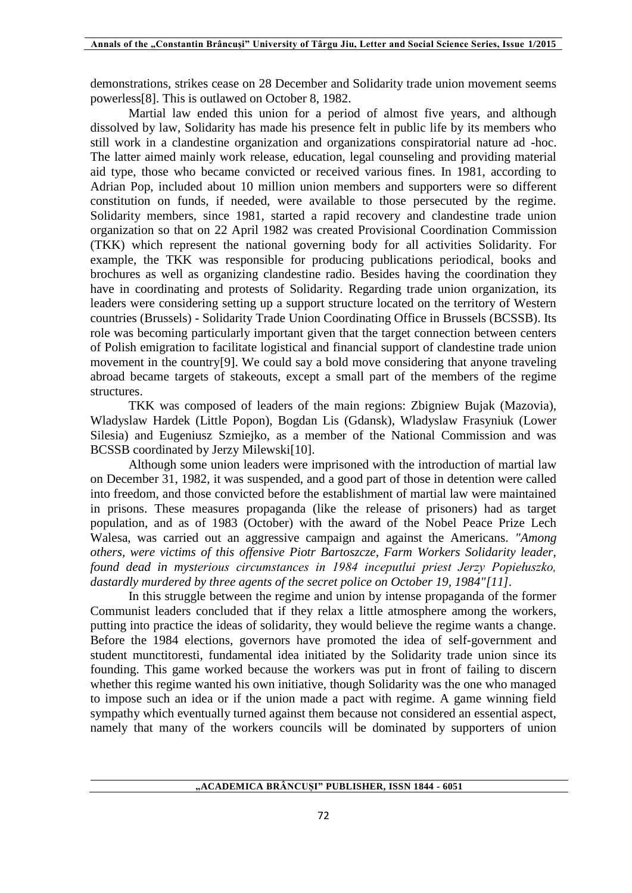demonstrations, strikes cease on 28 December and Solidarity trade union movement seems powerless[8]. This is outlawed on October 8, 1982.

Martial law ended this union for a period of almost five years, and although dissolved by law, Solidarity has made his presence felt in public life by its members who still work in a clandestine organization and organizations conspiratorial nature ad -hoc. The latter aimed mainly work release, education, legal counseling and providing material aid type, those who became convicted or received various fines. In 1981, according to Adrian Pop, included about 10 million union members and supporters were so different constitution on funds, if needed, were available to those persecuted by the regime. Solidarity members, since 1981, started a rapid recovery and clandestine trade union organization so that on 22 April 1982 was created Provisional Coordination Commission (TKK) which represent the national governing body for all activities Solidarity. For example, the TKK was responsible for producing publications periodical, books and brochures as well as organizing clandestine radio. Besides having the coordination they have in coordinating and protests of Solidarity. Regarding trade union organization, its leaders were considering setting up a support structure located on the territory of Western countries (Brussels) - Solidarity Trade Union Coordinating Office in Brussels (BCSSB). Its role was becoming particularly important given that the target connection between centers of Polish emigration to facilitate logistical and financial support of clandestine trade union movement in the country[9]. We could say a bold move considering that anyone traveling abroad became targets of stakeouts, except a small part of the members of the regime structures.

TKK was composed of leaders of the main regions: Zbigniew Bujak (Mazovia), Wladyslaw Hardek (Little Popon), Bogdan Lis (Gdansk), Wladyslaw Frasyniuk (Lower Silesia) and Eugeniusz Szmiejko, as a member of the National Commission and was BCSSB coordinated by Jerzy Milewski[10].

Although some union leaders were imprisoned with the introduction of martial law on December 31, 1982, it was suspended, and a good part of those in detention were called into freedom, and those convicted before the establishment of martial law were maintained in prisons. These measures propaganda (like the release of prisoners) had as target population, and as of 1983 (October) with the award of the Nobel Peace Prize Lech Walesa, was carried out an aggressive campaign and against the Americans. *"Among others, were victims of this offensive Piotr Bartoszcze, Farm Workers Solidarity leader, found dead in mysterious circumstances in 1984 inceputlui priest Jerzy Popiełuszko, dastardly murdered by three agents of the secret police on October 19, 1984"[11].*

In this struggle between the regime and union by intense propaganda of the former Communist leaders concluded that if they relax a little atmosphere among the workers, putting into practice the ideas of solidarity, they would believe the regime wants a change. Before the 1984 elections, governors have promoted the idea of self-government and student munctitoresti, fundamental idea initiated by the Solidarity trade union since its founding. This game worked because the workers was put in front of failing to discern whether this regime wanted his own initiative, though Solidarity was the one who managed to impose such an idea or if the union made a pact with regime. A game winning field sympathy which eventually turned against them because not considered an essential aspect, namely that many of the workers councils will be dominated by supporters of union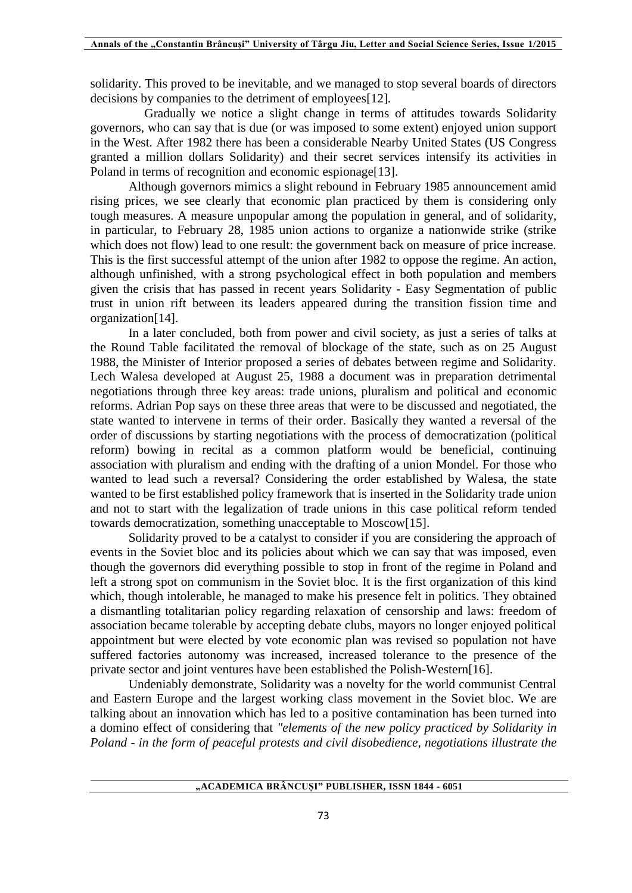solidarity. This proved to be inevitable, and we managed to stop several boards of directors decisions by companies to the detriment of employees[12]*.*

 Gradually we notice a slight change in terms of attitudes towards Solidarity governors, who can say that is due (or was imposed to some extent) enjoyed union support in the West. After 1982 there has been a considerable Nearby United States (US Congress granted a million dollars Solidarity) and their secret services intensify its activities in Poland in terms of recognition and economic espionage<sup>[13]</sup>.

Although governors mimics a slight rebound in February 1985 announcement amid rising prices, we see clearly that economic plan practiced by them is considering only tough measures. A measure unpopular among the population in general, and of solidarity, in particular, to February 28, 1985 union actions to organize a nationwide strike (strike which does not flow) lead to one result: the government back on measure of price increase. This is the first successful attempt of the union after 1982 to oppose the regime. An action, although unfinished, with a strong psychological effect in both population and members given the crisis that has passed in recent years Solidarity - Easy Segmentation of public trust in union rift between its leaders appeared during the transition fission time and organization[14].

In a later concluded, both from power and civil society, as just a series of talks at the Round Table facilitated the removal of blockage of the state, such as on 25 August 1988, the Minister of Interior proposed a series of debates between regime and Solidarity. Lech Walesa developed at August 25, 1988 a document was in preparation detrimental negotiations through three key areas: trade unions, pluralism and political and economic reforms. Adrian Pop says on these three areas that were to be discussed and negotiated, the state wanted to intervene in terms of their order. Basically they wanted a reversal of the order of discussions by starting negotiations with the process of democratization (political reform) bowing in recital as a common platform would be beneficial, continuing association with pluralism and ending with the drafting of a union Mondel. For those who wanted to lead such a reversal? Considering the order established by Walesa, the state wanted to be first established policy framework that is inserted in the Solidarity trade union and not to start with the legalization of trade unions in this case political reform tended towards democratization, something unacceptable to Moscow[15].

Solidarity proved to be a catalyst to consider if you are considering the approach of events in the Soviet bloc and its policies about which we can say that was imposed, even though the governors did everything possible to stop in front of the regime in Poland and left a strong spot on communism in the Soviet bloc. It is the first organization of this kind which, though intolerable, he managed to make his presence felt in politics. They obtained a dismantling totalitarian policy regarding relaxation of censorship and laws: freedom of association became tolerable by accepting debate clubs, mayors no longer enjoyed political appointment but were elected by vote economic plan was revised so population not have suffered factories autonomy was increased, increased tolerance to the presence of the private sector and joint ventures have been established the Polish-Western[16].

Undeniably demonstrate, Solidarity was a novelty for the world communist Central and Eastern Europe and the largest working class movement in the Soviet bloc. We are talking about an innovation which has led to a positive contamination has been turned into a domino effect of considering that *"elements of the new policy practiced by Solidarity in Poland - in the form of peaceful protests and civil disobedience, negotiations illustrate the*